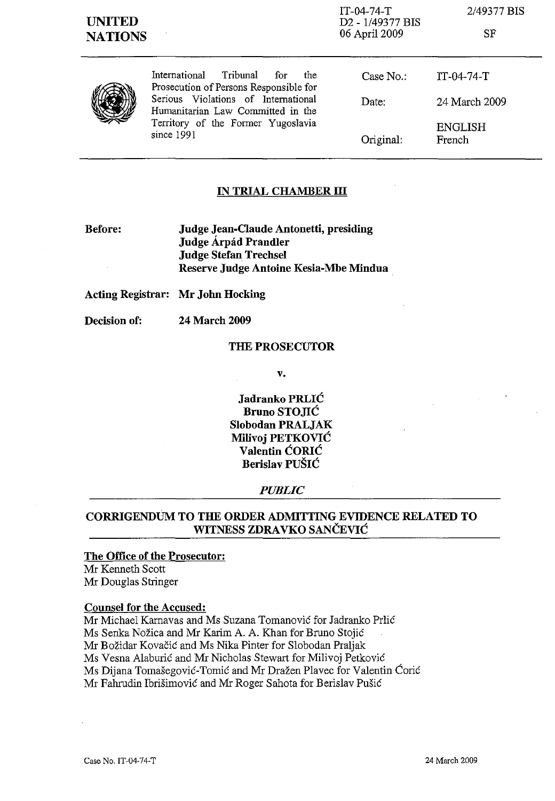| <b>UNITED</b><br><b>NATIONS</b> |                                                                                                                                                                                                                | IT-04-74-T<br>D <sub>2</sub> - 1/49377 BIS<br>06 April 2009 | 2/49377 BIS<br>$^{\rm{SF}}$ |
|---------------------------------|----------------------------------------------------------------------------------------------------------------------------------------------------------------------------------------------------------------|-------------------------------------------------------------|-----------------------------|
|                                 | International Tribunal<br>for<br>the<br>Prosecution of Persons Responsible for<br>Serious Violations of International<br>Humanitarian Law Committed in the<br>Territory of the Former Yugoslavia<br>since 1991 | Case $No.$ :                                                | $IT-04-74-T$                |
|                                 |                                                                                                                                                                                                                | Date:                                                       | 24 March 2009               |
|                                 |                                                                                                                                                                                                                | Original:                                                   | ENGLISH<br>French           |

# **IN TRIAL CHAMBER III**

**Before:** 

**Judge Jean-Claude Antonetti, presiding Judge Arpad Prandler Judge Stefan Trechsel Reserve Judge Antoine Kesia-Mbe Mindua** 

**Acting Registrar: Mr John Hocking** 

**Decision of: 24 March 2009** 

### **THE PROSECUTOR**

**v.** 

**Jadranko** PRLIĆ **Bruno** STOJIĆ **Slobodan PRALJAK Milivoj** PETKOVIĆ **Valentin** ĆORIĆ **Berislav** PUŠIĆ

### *PUBLIC*

# **CORRIGENDUM TO THE ORDER ADMITTING EVIDENCE RELATED TO WITNESS ZDRAVKO** SANČEVIĆ

### **The Office of the Prosecutor:**

Mr Kenneth Scott Mr Douglas Stringer

### **Counsel for the Accused:**

Mr Michael Karnavas and Ms Suzana Tomanović for Jadranko Prlić Ms Senka Nožica and Mr Karim A. A. Khan for Bruno Stojić Mr Božidar Kovačić and Ms Nika Pinter for Slobodan Praljak Ms Vesna Alaburić and Mr Nicholas Stewart for Milivoj Petković Ms Dijana Tomašegović-Tomić and Mr Dražen Plavec for Valentin Ćorić Mr Fahrudin Ibrišimović and Mr Roger Sahota for Berislav Pušić